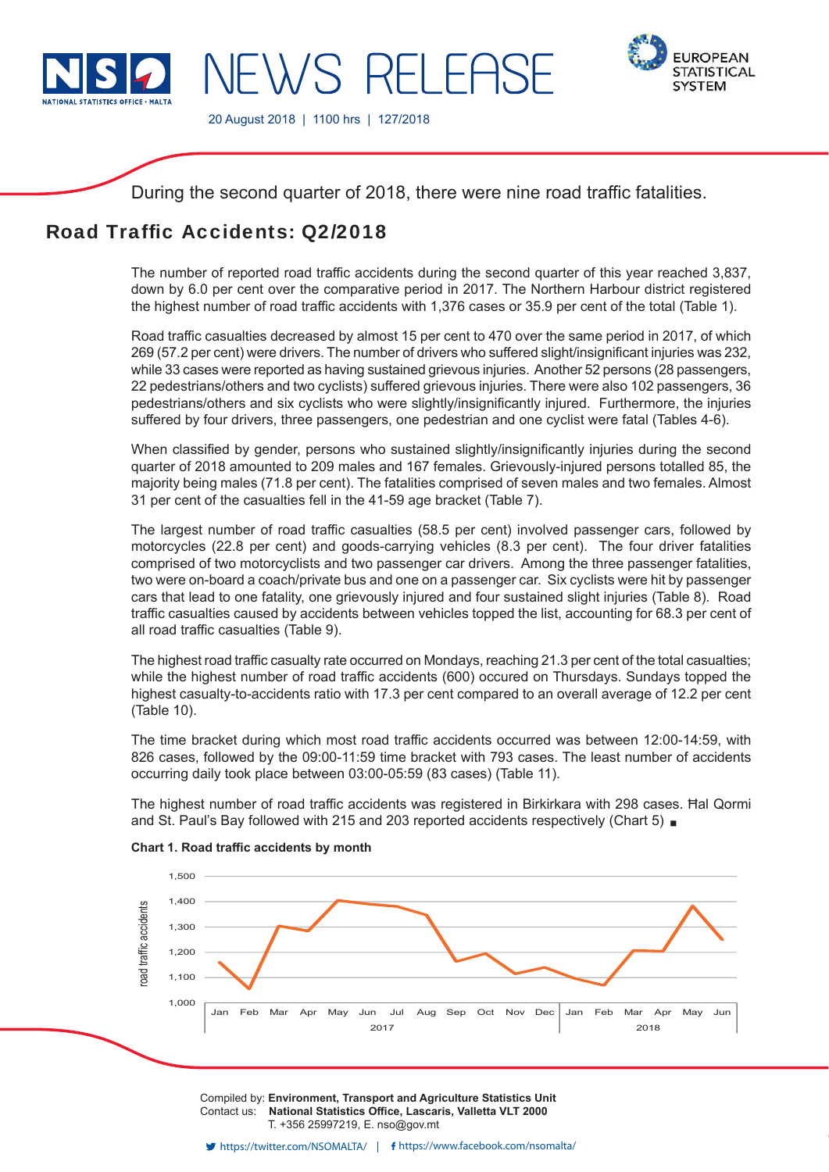

IFWS RFI FASF



20 August 2018 | 1100 hrs | 127/2018

During the second quarter of 2018, there were nine road traffic fatalities.

# Road Traffic Accidents: 02/2018

The number of reported road traffic accidents during the second quarter of this year reached 3,837, down by 6.0 per cent over the comparative period in 2017. The Northern Harbour district registered the highest number of road traffic accidents with 1,376 cases or 35.9 per cent of the total (Table 1).

Road traffic casualties decreased by almost 15 per cent to 470 over the same period in 2017, of which 269 (57.2 per cent) were drivers. The number of drivers who suffered slight/insignificant injuries was 232, while 33 cases were reported as having sustained grievous injuries. Another 52 persons (28 passengers, 22 pedestrians/others and two cyclists) suffered grievous injuries. There were also 102 passengers, 36 pedestrians/others and six cyclists who were slightly/insignificantly injured. Furthermore, the injuries suffered by four drivers, three passengers, one pedestrian and one cyclist were fatal (Tables 4-6).

When classified by gender, persons who sustained slightly/insignificantly injuries during the second quarter of 2018 amounted to 209 males and 167 females. Grievously-injured persons totalled 85, the majority being males (71.8 per cent). The fatalities comprised of seven males and two females. Almost 31 per cent of the casualties fell in the 41-59 age bracket (Table 7).

The largest number of road traffic casualties (58.5 per cent) involved passenger cars, followed by motorcycles (22.8 per cent) and goods-carrying vehicles (8.3 per cent). The four driver fatalities comprised of two motorcyclists and two passenger car drivers. Among the three passenger fatalities, two were on-board a coach/private bus and one on a passenger car. Six cyclists were hit by passenger cars that lead to one fatality, one grievously injured and four sustained slight injuries (Table 8). Road traffic casualties caused by accidents between vehicles topped the list, accounting for 68.3 per cent of all road traffic casualties (Table 9).

The highest road traffic casualty rate occurred on Mondays, reaching 21.3 per cent of the total casualties; while the highest number of road traffic accidents (600) occured on Thursdays. Sundays topped the highest casualty-to-accidents ratio with 17.3 per cent compared to an overall average of 12.2 per cent (Table 10).

The time bracket during which most road traffic accidents occurred was between 12:00-14:59, with 826 cases, followed by the 09:00-11:59 time bracket with 793 cases. The least number of accidents occurring daily took place between 03:00-05:59 (83 cases) (Table 11).

The highest number of road traffic accidents was registered in Birkirkara with 298 cases. Hal Qormi and St. Paul's Bay followed with 215 and 203 reported accidents respectively (Chart 5)



### **Chart 1. Road traffic accidents by month**

Compiled by: **Environment, Transport and Agriculture Statistics Unit** Contact us: National Statistics Office, Lascaris, Valletta VLT 2000 T. +356 25997219, E. nso@gov.mt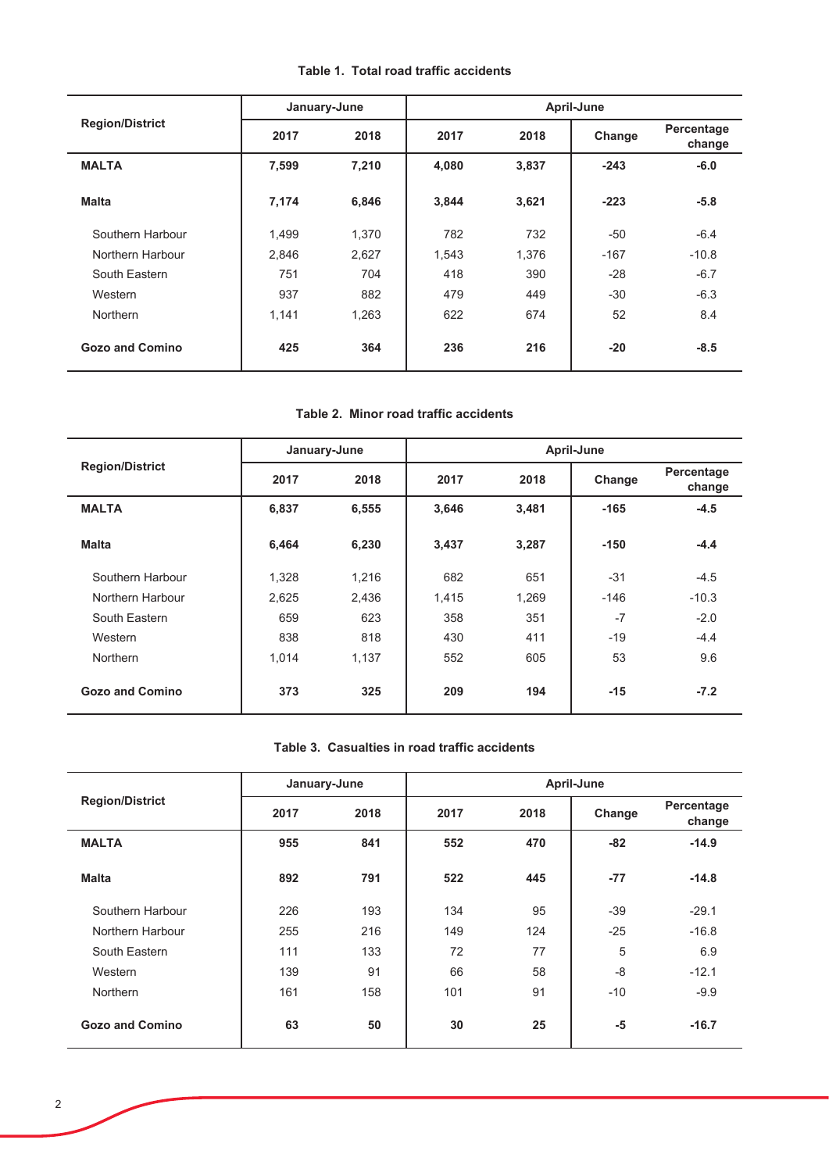| Table 1. Total road traffic accidents |  |
|---------------------------------------|--|
|---------------------------------------|--|

|                        |       | January-June | April-June |       |        |                      |  |  |
|------------------------|-------|--------------|------------|-------|--------|----------------------|--|--|
| <b>Region/District</b> | 2017  | 2018         | 2017       | 2018  | Change | Percentage<br>change |  |  |
| <b>MALTA</b>           | 7,599 | 7,210        | 4,080      | 3,837 | $-243$ | $-6.0$               |  |  |
| <b>Malta</b>           | 7,174 | 6,846        | 3,844      | 3,621 | $-223$ | $-5.8$               |  |  |
| Southern Harbour       | 1,499 | 1,370        | 782        | 732   | $-50$  | $-6.4$               |  |  |
| Northern Harbour       | 2,846 | 2,627        | 1,543      | 1,376 | $-167$ | $-10.8$              |  |  |
| South Eastern          | 751   | 704          | 418        | 390   | $-28$  | $-6.7$               |  |  |
| Western                | 937   | 882          | 479        | 449   | $-30$  | $-6.3$               |  |  |
| <b>Northern</b>        | 1,141 | 1,263        | 622        | 674   | 52     | 8.4                  |  |  |
| <b>Gozo and Comino</b> | 425   | 364          | 236        | 216   | $-20$  | $-8.5$               |  |  |

### **Table 2. Minor road traffic accidents**

|                        |       | January-June |       | April-June |        |                      |  |  |  |
|------------------------|-------|--------------|-------|------------|--------|----------------------|--|--|--|
| <b>Region/District</b> | 2017  | 2018         | 2017  | 2018       | Change | Percentage<br>change |  |  |  |
| <b>MALTA</b>           | 6,837 | 6,555        | 3,646 | 3,481      | $-165$ | $-4.5$               |  |  |  |
| <b>Malta</b>           | 6,464 | 6,230        | 3,437 | 3,287      | $-150$ | $-4.4$               |  |  |  |
| Southern Harbour       | 1,328 | 1,216        | 682   | 651        | $-31$  | $-4.5$               |  |  |  |
| Northern Harbour       | 2,625 | 2,436        | 1,415 | 1,269      | $-146$ | $-10.3$              |  |  |  |
| South Eastern          | 659   | 623          | 358   | 351        | $-7$   | $-2.0$               |  |  |  |
| Western                | 838   | 818          | 430   | 411        | $-19$  | $-4.4$               |  |  |  |
| Northern               | 1,014 | 1,137        | 552   | 605        | 53     | 9.6                  |  |  |  |
| <b>Gozo and Comino</b> | 373   | 325          | 209   | 194        | $-15$  | $-7.2$               |  |  |  |

### Table 3. Casualties in road traffic accidents

|                        | January-June |      | April-June |      |        |                      |  |  |
|------------------------|--------------|------|------------|------|--------|----------------------|--|--|
| <b>Region/District</b> | 2017         | 2018 | 2017       | 2018 | Change | Percentage<br>change |  |  |
| <b>MALTA</b>           | 955          | 841  | 552        | 470  | $-82$  | $-14.9$              |  |  |
| <b>Malta</b>           | 892          | 791  | 522        | 445  | $-77$  | $-14.8$              |  |  |
| Southern Harbour       | 226          | 193  | 134        | 95   | $-39$  | $-29.1$              |  |  |
| Northern Harbour       | 255          | 216  | 149        | 124  | $-25$  | $-16.8$              |  |  |
| South Eastern          | 111          | 133  | 72         | 77   | 5      | 6.9                  |  |  |
| Western                | 139          | 91   | 66         | 58   | $-8$   | $-12.1$              |  |  |
| <b>Northern</b>        | 161          | 158  | 101        | 91   | $-10$  | $-9.9$               |  |  |
| Gozo and Comino        | 63           | 50   | 30         | 25   | $-5$   | $-16.7$              |  |  |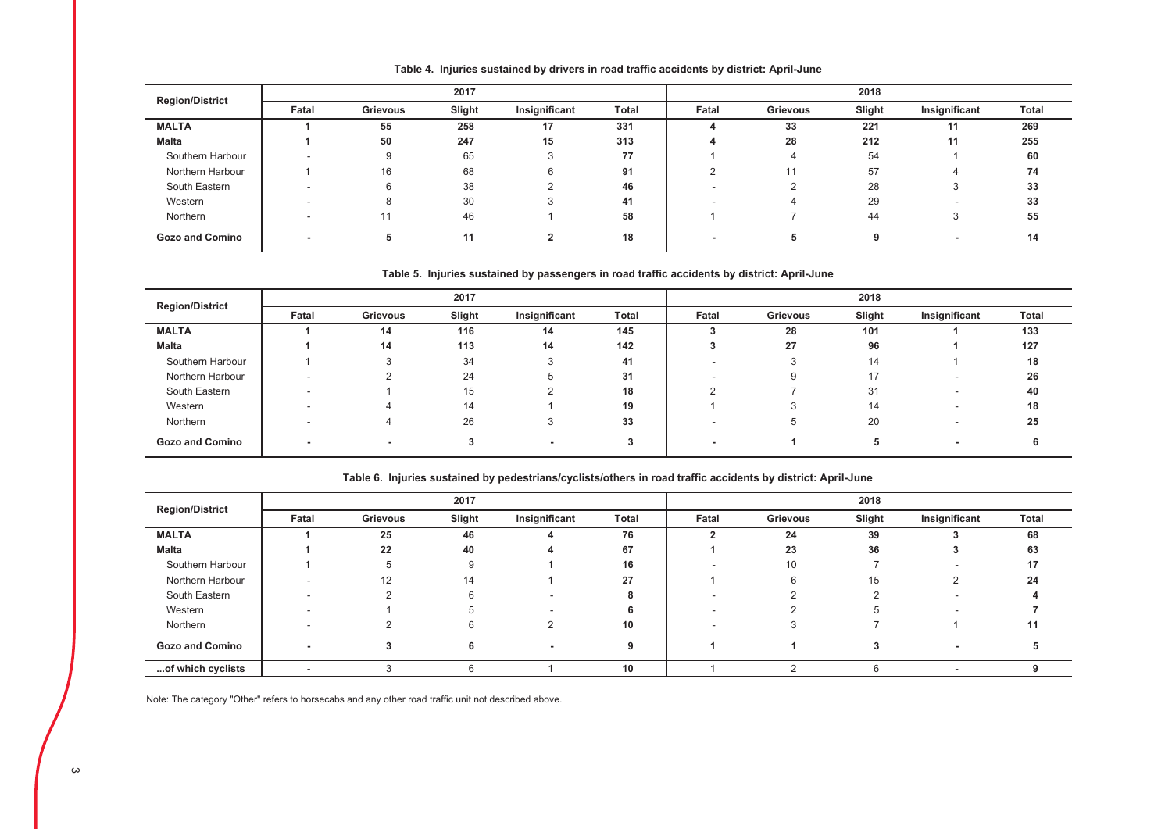| <b>Region/District</b> |       |          | 2017   |               |              |        |                 | 2018   |                          |              |
|------------------------|-------|----------|--------|---------------|--------------|--------|-----------------|--------|--------------------------|--------------|
|                        | Fatal | Grievous | Slight | Insignificant | <b>Total</b> | Fatal  | <b>Grievous</b> | Slight | Insignificant            | <b>Total</b> |
| <b>MALTA</b>           |       | 55       | 258    | 17            | 331          |        | 33              | 221    | 11                       | 269          |
| <b>Malta</b>           |       | 50       | 247    | 15            | 313          |        | 28              | 212    | 11                       | 255          |
| Southern Harbour       |       | 9        | 65     |               | 77           |        |                 | 54     |                          | 60           |
| Northern Harbour       |       | 16       | 68     | 6             | 91           | $\sim$ | 11              | 57     | 4                        | 74           |
| South Eastern          |       | 6        | 38     |               | 46           |        |                 | 28     | 3                        | 33           |
| Western                |       | 8        | 30     |               | 41           |        |                 | 29     | $\overline{\phantom{a}}$ | 33           |
| Northern               |       |          | 46     |               | 58           |        |                 | 44     | 3                        | 55           |
| <b>Gozo and Comino</b> | -     | 5.       | 11     | 2             | 18           |        | 5               |        | $\overline{\phantom{a}}$ | 14           |

Table 4. Injuries sustained by drivers in road traffic accidents by district: April-June

#### Table 5. Injuries sustained by passengers in road traffic accidents by district: April-June

| <b>Region/District</b> |                          |          | 2017   |               |       |       |          | 2018   |                          |       |
|------------------------|--------------------------|----------|--------|---------------|-------|-------|----------|--------|--------------------------|-------|
|                        | Fatal                    | Grievous | Slight | Insignificant | Total | Fatal | Grievous | Slight | Insignificant            | Total |
| <b>MALTA</b>           |                          | 14       | 116    | 14            | 145   |       | 28       | 101    |                          | 133   |
| Malta                  |                          | 14       | 113    | 14            | 142   |       | 27       | 96     |                          | 127   |
| Southern Harbour       |                          |          | 34     |               | 41    |       |          | 14     |                          | 18    |
| Northern Harbour       |                          |          | 24     |               | 31    |       |          | 17     |                          | 26    |
| South Eastern          | $\overline{\phantom{a}}$ |          | 15     |               | 18    |       |          | 31     | $\overline{\phantom{a}}$ | 40    |
| Western                |                          |          | 14     |               | 19    |       |          | 14     |                          | 18    |
| Northern               |                          |          | 26     |               | 33    |       | Ð        | 20     | -                        | 25    |
| <b>Gozo and Comino</b> |                          |          |        |               |       |       |          |        | $\overline{\phantom{0}}$ |       |

|                        |                          |          | 2017   |               |              | 2018  |          |        |               |       |
|------------------------|--------------------------|----------|--------|---------------|--------------|-------|----------|--------|---------------|-------|
| <b>Region/District</b> | Fatal                    | Grievous | Slight | Insignificant | <b>Total</b> | Fatal | Grievous | Slight | Insignificant | Total |
| <b>MALTA</b>           |                          | 25       | 46     |               | 76           |       | 24       | 39     |               | 68    |
| <b>Malta</b>           |                          | 22       | 40     |               | 67           |       | 23       | 36     |               | 63    |
| Southern Harbour       |                          | 5        | 9      |               | 16           |       | 10       |        |               | 17    |
| Northern Harbour       |                          | 12       | 14     |               | 27           |       | 6        | 15     |               | 24    |
| South Eastern          |                          | $\sim$   | 6      |               |              |       |          |        |               |       |
| Western                |                          |          |        |               |              |       |          |        |               |       |
| Northern               |                          |          | 6      |               | 10           |       |          |        |               | 11    |
| <b>Gozo and Comino</b> |                          |          | 6      |               | 9            |       |          |        | ۰             |       |
| of which cyclists      | $\overline{\phantom{a}}$ |          | 6      |               | 10           |       |          |        | ۰             |       |

Table 6. Injuries sustained by pedestrians/cyclists/others in road traffic accidents by district: April-June

Note: The category "Other" refers to horsecabs and any other road traffic unit not described above.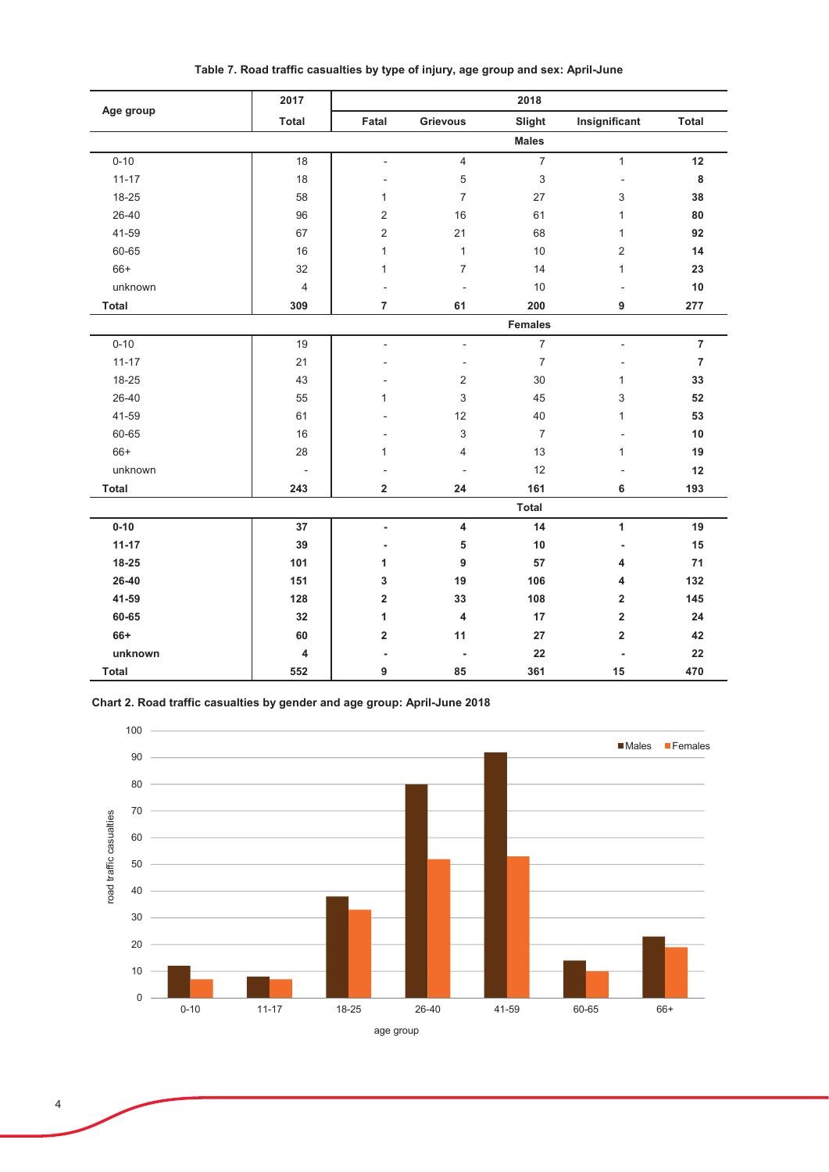|              | 2017                     |                         |                          | 2018           |                         |                |
|--------------|--------------------------|-------------------------|--------------------------|----------------|-------------------------|----------------|
| Age group    | <b>Total</b>             | Fatal                   | <b>Grievous</b>          | Slight         | Insignificant           | <b>Total</b>   |
|              |                          |                         |                          | <b>Males</b>   |                         |                |
| $0 - 10$     | 18                       | $\overline{a}$          | $\overline{4}$           | $\overline{7}$ | $\mathbf{1}$            | 12             |
| $11 - 17$    | 18                       |                         | $\,$ 5 $\,$              | $\sqrt{3}$     | ÷,                      | $\bf8$         |
| 18-25        | 58                       | 1                       | $\overline{7}$           | 27             | 3                       | 38             |
| 26-40        | 96                       | $\overline{2}$          | 16                       | 61             | $\mathbf{1}$            | 80             |
| 41-59        | 67                       | $\overline{2}$          | 21                       | 68             | 1                       | 92             |
| 60-65        | 16                       | 1                       | $\mathbf{1}$             | 10             | $\overline{2}$          | 14             |
| $66+$        | 32                       | 1                       | $\overline{7}$           | 14             | $\mathbf{1}$            | 23             |
| unknown      | $\overline{4}$           |                         | $\overline{a}$           | 10             | ÷,                      | $10$           |
| Total        | 309                      | $\overline{7}$          | 61                       | 200            | 9                       | 277            |
|              |                          |                         |                          | <b>Females</b> |                         |                |
| $0 - 10$     | 19                       | $\overline{a}$          | $\overline{a}$           | $\overline{7}$ | $\blacksquare$          | $\overline{7}$ |
| $11 - 17$    | 21                       |                         | $\overline{a}$           | $\overline{7}$ |                         | $\overline{7}$ |
| 18-25        | 43                       |                         | $\overline{2}$           | 30             | $\mathbf{1}$            | 33             |
| 26-40        | 55                       | $\mathbf{1}$            | 3                        | 45             | 3                       | 52             |
| 41-59        | 61                       |                         | 12                       | 40             | $\mathbf{1}$            | 53             |
| 60-65        | 16                       |                         | 3                        | $\overline{7}$ |                         | 10             |
| $66+$        | 28                       | 1                       | $\overline{4}$           | 13             | $\mathbf{1}$            | 19             |
| unknown      | $\overline{\phantom{a}}$ |                         | $\overline{\phantom{a}}$ | 12             | ٠                       | 12             |
| <b>Total</b> | 243                      | $\overline{\mathbf{2}}$ | 24                       | 161            | 6                       | 193            |
|              |                          |                         |                          | <b>Total</b>   |                         |                |
| $0 - 10$     | 37                       | $\blacksquare$          | 4                        | 14             | $\mathbf{1}$            | 19             |
| $11 - 17$    | 39                       | ٠                       | 5                        | 10             |                         | 15             |
| $18 - 25$    | 101                      | 1                       | 9                        | 57             | 4                       | 71             |
| 26-40        | 151                      | 3                       | 19                       | 106            | 4                       | 132            |
| 41-59        | 128                      | $\overline{\mathbf{2}}$ | 33                       | 108            | $\overline{\mathbf{2}}$ | 145            |
| 60-65        | 32                       | 1                       | 4                        | 17             | $\overline{\mathbf{2}}$ | 24             |
| 66+          | 60                       | $\overline{\mathbf{2}}$ | 11                       | 27             | $\overline{\mathbf{2}}$ | 42             |
| unknown      | 4                        | Ĭ.                      |                          | 22             | Ĭ.                      | 22             |
| <b>Total</b> | 552                      | 9                       | 85                       | 361            | 15                      | 470            |

Table 7. Road traffic casualties by type of injury, age group and sex: April-June

Chart 2. Road traffic casualties by gender and age group: April-June 2018

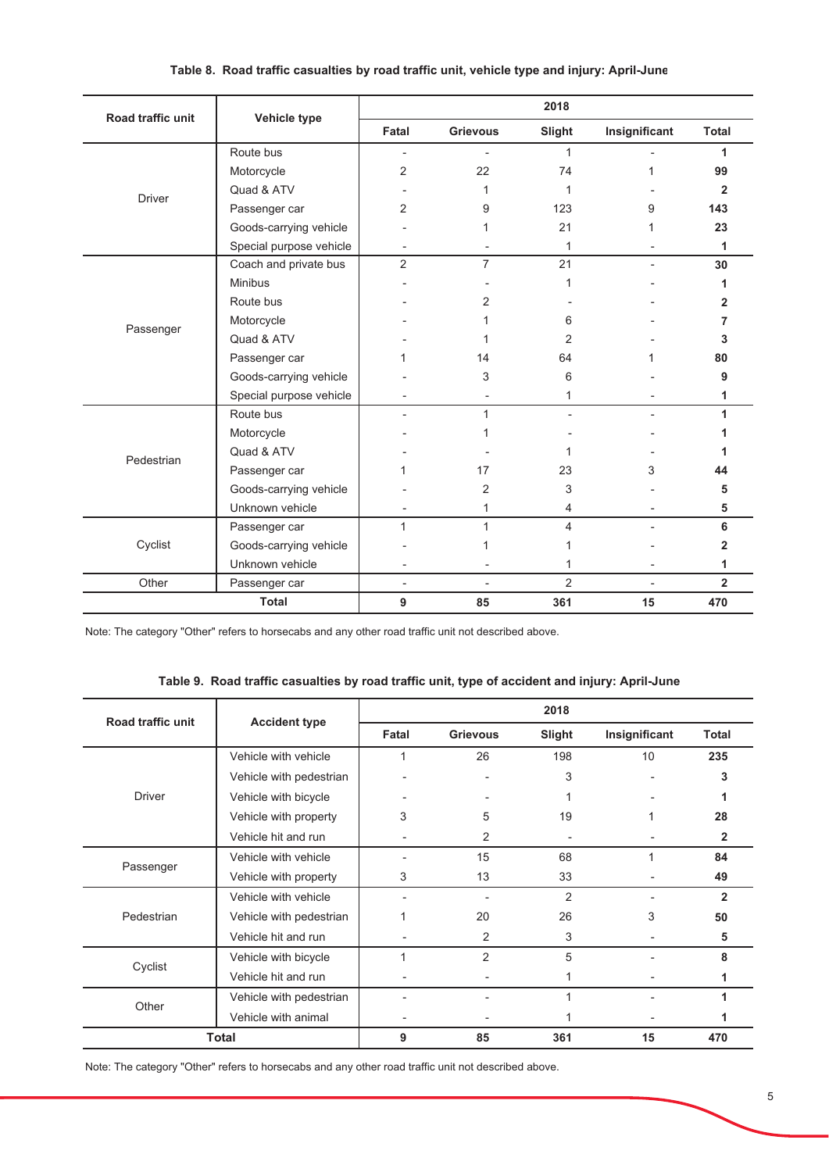| Road traffic unit |                         |                |                 | 2018           |               |                |
|-------------------|-------------------------|----------------|-----------------|----------------|---------------|----------------|
|                   | Vehicle type            | Fatal          | <b>Grievous</b> | Slight         | Insignificant | <b>Total</b>   |
|                   | Route bus               |                |                 | 1              |               | 1              |
|                   | Motorcycle              | 2              | 22              | 74             | 1             | 99             |
| <b>Driver</b>     | Quad & ATV              |                | 1               | 1              |               | $\overline{2}$ |
|                   | Passenger car           | 2              | 9               | 123            | 9             | 143            |
|                   | Goods-carrying vehicle  |                |                 | 21             |               | 23             |
|                   | Special purpose vehicle |                |                 | 1              |               | 1              |
|                   | Coach and private bus   | $\overline{2}$ | $\overline{7}$  | 21             |               | 30             |
|                   | <b>Minibus</b>          |                |                 | 1              |               |                |
|                   | Route bus               |                | 2               |                |               | 2              |
|                   | Motorcycle              |                |                 | 6              |               | 7              |
| Passenger         | Quad & ATV              |                |                 | 2              |               | 3              |
|                   | Passenger car           |                | 14              | 64             |               | 80             |
|                   | Goods-carrying vehicle  |                | 3               | 6              |               | 9              |
|                   | Special purpose vehicle |                |                 | 1              |               | 1              |
|                   | Route bus               |                | 1               |                |               | 1              |
|                   | Motorcycle              |                |                 |                |               |                |
|                   | Quad & ATV              |                |                 |                |               |                |
| Pedestrian        | Passenger car           |                | 17              | 23             | 3             | 44             |
|                   | Goods-carrying vehicle  |                | 2               | 3              |               | 5              |
|                   | Unknown vehicle         |                | 1               | 4              |               | 5              |
|                   | Passenger car           | 1              | 1               | 4              |               | 6              |
| Cyclist           | Goods-carrying vehicle  |                |                 | 1              |               | 2              |
|                   | Unknown vehicle         |                |                 | 1              |               | 1              |
| Other             | Passenger car           | ä,             |                 | $\overline{2}$ |               | $\overline{2}$ |
|                   | <b>Total</b>            | 9              | 85              | 361            | 15            | 470            |

### Table 8. Road traffic casualties by road traffic unit, vehicle type and injury: April-June

Note: The category "Other" refers to horsecabs and any other road traffic unit not described above.

## Table 9. Road traffic casualties by road traffic unit, type of accident and injury: April-June

| <b>Road traffic unit</b> | <b>Accident type</b>    |       |                 | 2018   |               |                |
|--------------------------|-------------------------|-------|-----------------|--------|---------------|----------------|
|                          |                         | Fatal | <b>Grievous</b> | Slight | Insignificant | <b>Total</b>   |
|                          | Vehicle with vehicle    | 1     | 26              | 198    | 10            | 235            |
|                          | Vehicle with pedestrian |       |                 | 3      | ٠             | 3              |
| <b>Driver</b>            | Vehicle with bicycle    |       |                 |        |               |                |
|                          | Vehicle with property   | 3     | 5               | 19     |               | 28             |
|                          | Vehicle hit and run     |       | 2               | ٠      |               | 2              |
|                          | Vehicle with vehicle    |       | 15              | 68     | 1             | 84             |
| Passenger                | Vehicle with property   | 3     | 13              | 33     |               | 49             |
|                          | Vehicle with vehicle    |       |                 | 2      |               | $\overline{2}$ |
| Pedestrian               | Vehicle with pedestrian |       | 20              | 26     | 3             | 50             |
|                          | Vehicle hit and run     |       | 2               | 3      |               | 5              |
|                          | Vehicle with bicycle    |       | $\overline{2}$  | 5      |               | 8              |
| Cyclist                  | Vehicle hit and run     |       |                 |        |               |                |
| Other                    | Vehicle with pedestrian |       |                 | 1      | ۰             |                |
|                          | Vehicle with animal     |       |                 |        |               |                |
|                          | Total                   | 9     | 85              | 361    | 15            | 470            |

Note: The category "Other" refers to horsecabs and any other road traffic unit not described above.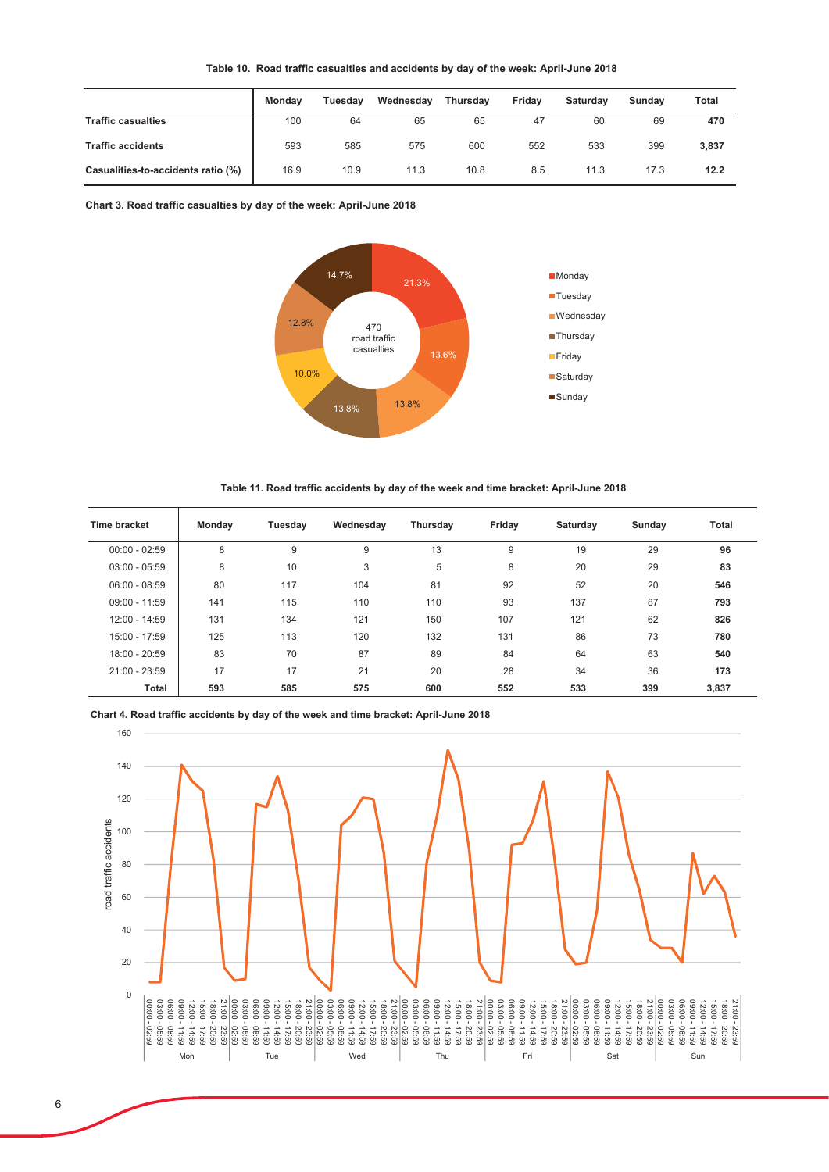| Table 10.  Road traffic casualties and accidents by day of the week: April-June 2018 |  |  |  |  |  |
|--------------------------------------------------------------------------------------|--|--|--|--|--|
|--------------------------------------------------------------------------------------|--|--|--|--|--|

|                                    | <b>Monday</b> | Tuesdav | Wednesdav | <b>Thursdav</b> | Fridav | Saturdav | Sundav | Total |
|------------------------------------|---------------|---------|-----------|-----------------|--------|----------|--------|-------|
| <b>Traffic casualties</b>          | 100           | 64      | 65        | 65              | 47     | 60       | 69     | 470   |
| <b>Traffic accidents</b>           | 593           | 585     | 575       | 600             | 552    | 533      | 399    | 3,837 |
| Casualities-to-accidents ratio (%) | 16.9          | 10.9    | 11.3      | 10.8            | 8.5    | 11.3     | 17.3   | 12.2  |

Chart 3. Road traffic casualties by day of the week: April-June 2018



Table 11. Road traffic accidents by day of the week and time bracket: April-June 2018

| Time bracket    | Monday | Tuesday | Wednesday | Thursday | Friday | Saturday | Sunday | <b>Total</b> |
|-----------------|--------|---------|-----------|----------|--------|----------|--------|--------------|
| $00:00 - 02:59$ | 8      | 9       | 9         | 13       | 9      | 19       | 29     | 96           |
| $03:00 - 05:59$ | 8      | 10      | 3         | 5        | 8      | 20       | 29     | 83           |
| $06:00 - 08:59$ | 80     | 117     | 104       | 81       | 92     | 52       | 20     | 546          |
| $09:00 - 11:59$ | 141    | 115     | 110       | 110      | 93     | 137      | 87     | 793          |
| 12:00 - 14:59   | 131    | 134     | 121       | 150      | 107    | 121      | 62     | 826          |
| 15:00 - 17:59   | 125    | 113     | 120       | 132      | 131    | 86       | 73     | 780          |
| 18:00 - 20:59   | 83     | 70      | 87        | 89       | 84     | 64       | 63     | 540          |
| 21:00 - 23:59   | 17     | 17      | 21        | 20       | 28     | 34       | 36     | 173          |
| Total           | 593    | 585     | 575       | 600      | 552    | 533      | 399    | 3,837        |

Chart 4. Road traffic accidents by day of the week and time bracket: April-June 2018

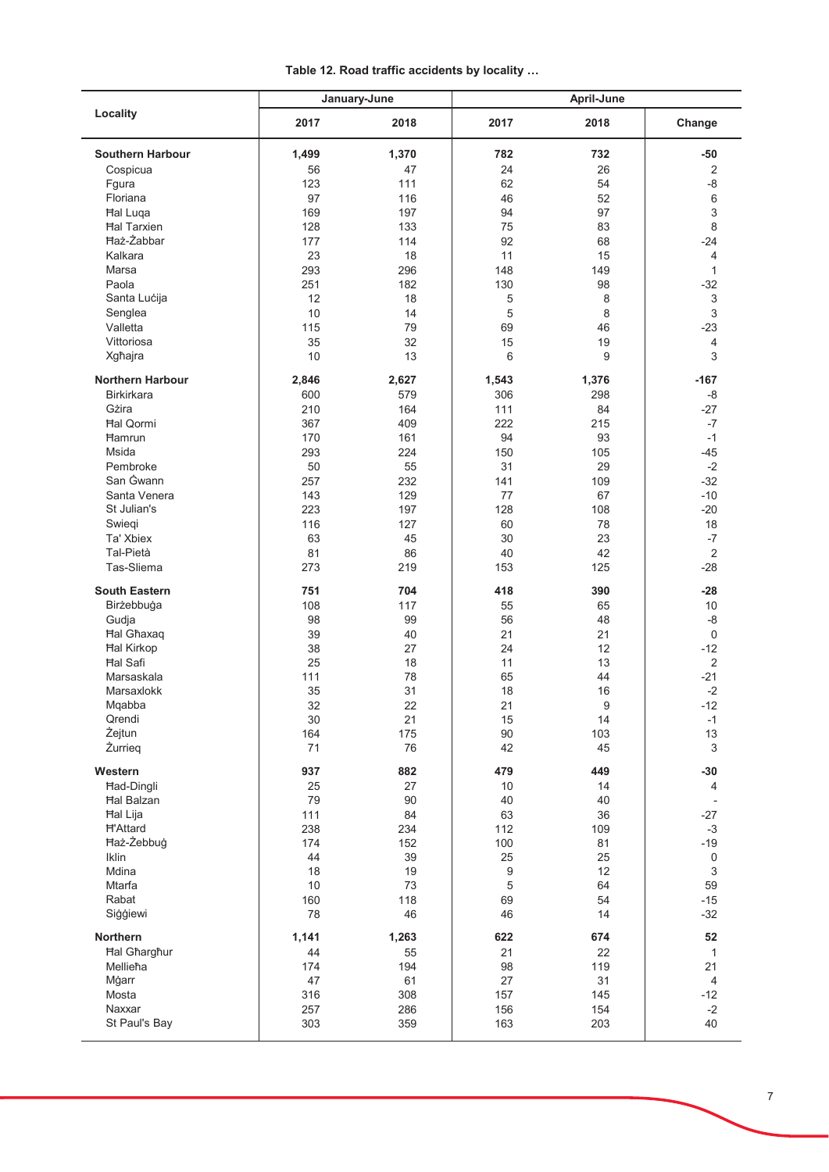| Table 12. Road traffic accidents by locality |  |
|----------------------------------------------|--|
|----------------------------------------------|--|

|                         |           | January-June | April-June |          |                           |  |
|-------------------------|-----------|--------------|------------|----------|---------------------------|--|
| Locality                | 2017      | 2018         | 2017       | 2018     | Change                    |  |
| <b>Southern Harbour</b> | 1,499     | 1,370        | 782        | 732      | $-50$                     |  |
| Cospicua                | 56        | 47           | 24         | 26       | $\overline{2}$            |  |
| Fgura                   | 123       | 111          | 62         | 54       | $-8$                      |  |
| Floriana                | 97        | 116          | 46         | 52       | 6                         |  |
| <b>Hal Luqa</b>         | 169       | 197          | 94         | 97       | $\ensuremath{\mathsf{3}}$ |  |
| <b>Hal Tarxien</b>      | 128       | 133          | 75         | 83       | 8                         |  |
| Haż-Żabbar              | 177       | 114          | 92         | 68       | $-24$                     |  |
| Kalkara                 | 23        | 18           | 11         | 15       | 4                         |  |
| Marsa                   | 293       | 296          | 148        | 149      | $\mathbf{1}$              |  |
| Paola                   | 251       | 182          | 130        | 98       | $-32$                     |  |
| Santa Lucija            | 12        | 18           | 5          | 8        | 3                         |  |
| Senglea                 | 10        | 14           | 5          | 8        | $\ensuremath{\mathsf{3}}$ |  |
| Valletta                | 115       | 79           | 69         | 46       | $-23$                     |  |
| Vittoriosa              | 35        | 32           | 15         | 19       | $\overline{4}$            |  |
| Xgħajra                 | 10        | 13           | 6          | 9        | 3                         |  |
| <b>Northern Harbour</b> | 2,846     | 2,627        | 1,543      | 1,376    | $-167$                    |  |
| <b>Birkirkara</b>       | 600       | 579          | 306        | 298      | $-8$                      |  |
| Gżira                   | 210       | 164          | 111        | 84       | $-27$                     |  |
| <b>Hal Qormi</b>        | 367       | 409          | 222        | 215      | $-7$                      |  |
| Hamrun                  | 170       | 161          | 94         | 93       | $-1$                      |  |
| Msida                   | 293       | 224          | 150        | 105      | $-45$                     |  |
| Pembroke                | 50        | 55           | 31         | 29       | $-2$                      |  |
| San Gwann               | 257       | 232          | 141        | 109      | $-32$                     |  |
| Santa Venera            | 143       | 129          | 77         | 67       | $-10$                     |  |
| St Julian's             | 223       | 197          | 128        | 108      | $-20$                     |  |
| Swiegi                  | 116       | 127          | 60         | 78       | 18                        |  |
| Ta' Xbiex               | 63        | 45           | 30         | 23       | $-7$                      |  |
| Tal-Pietà               | 81        | 86           | 40         | 42       | $\overline{2}$            |  |
| Tas-Sliema              | 273       | 219          | 153        | 125      | $-28$                     |  |
| <b>South Eastern</b>    | 751       | 704          | 418        | 390      | $-28$                     |  |
| Birżebbuġa              | 108       | 117          | 55         | 65       | 10                        |  |
| Gudja                   | 98        | 99           | 56         | 48       | $-8$                      |  |
| <b>Hal Ghaxaq</b>       | 39        | 40           | 21         | 21       | $\mathbf 0$               |  |
| <b>Hal Kirkop</b>       | 38        | 27           | 24         | 12       | $-12$                     |  |
| <b>Hal Safi</b>         | 25        | 18           | 11         | 13       | 2                         |  |
| Marsaskala              | 111       | 78           | 65         | 44       | $-21$                     |  |
| Marsaxlokk              | 35        | 31           | 18         | 16       | $-2$                      |  |
| Mqabba                  | 32        | 22           | 21         | 9        | $-12$                     |  |
| Qrendi                  | 30        | 21           | 15         | 14       | $-1$                      |  |
| Żejtun                  | 164       | 175          | 90         | 103      | 13                        |  |
| Żurrieg                 | 71        | 76           | 42         | 45       | $\ensuremath{\mathsf{3}}$ |  |
| Western                 | 937       | 882          | 479        | 449      | $-30$                     |  |
| Had-Dingli              | 25        | 27           | 10         | 14       | $\overline{4}$            |  |
| <b>Hal Balzan</b>       | 79        | 90           | 40         | 40       |                           |  |
| Hal Lija                | 111       | 84           | 63         | 36       | $-27$                     |  |
| <b>H'Attard</b>         | 238       | 234          | 112        | 109      | $-3$                      |  |
| Haż-Żebbuġ              | 174       | 152          | 100        | 81       | $-19$                     |  |
| Iklin<br>Mdina          | 44        | 39           | 25         | 25       | 0                         |  |
| Mtarfa                  | 18        | 19           | 9          | 12       | $\ensuremath{\mathsf{3}}$ |  |
| Rabat                   | 10<br>160 | 73<br>118    | 5<br>69    | 64<br>54 | 59<br>$-15$               |  |
| Siģģiewi                | 78        | 46           | 46         | 14       | $-32$                     |  |
| <b>Northern</b>         | 1,141     | 1,263        | 622        | 674      | 52                        |  |
| <b>Hal Gharghur</b>     | 44        | 55           | 21         | 22       | $\mathbf{1}$              |  |
| Mellieħa                | 174       | 194          | 98         | 119      | 21                        |  |
| Mġarr                   | 47        | 61           | 27         | 31       | $\overline{4}$            |  |
| Mosta                   | 316       | 308          | 157        | 145      | $-12$                     |  |
| Naxxar                  | 257       | 286          | 156        | 154      | $-2$                      |  |
| St Paul's Bay           | 303       | 359          | 163        | 203      | 40                        |  |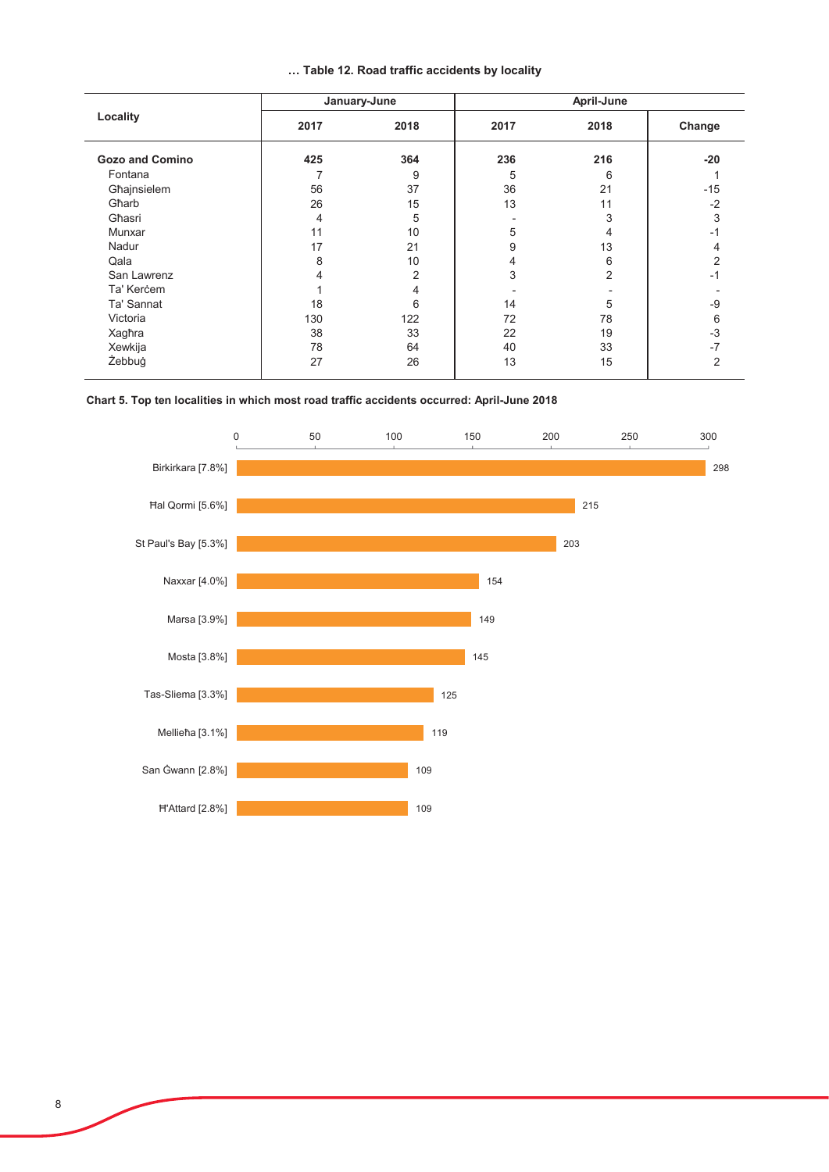|  |  |  |  |  | Table 12. Road traffic accidents by locality |  |  |
|--|--|--|--|--|----------------------------------------------|--|--|
|--|--|--|--|--|----------------------------------------------|--|--|

|                        |      | January-June | April-June |      |                |  |
|------------------------|------|--------------|------------|------|----------------|--|
| Locality               | 2017 | 2018         | 2017       | 2018 | Change         |  |
| <b>Gozo and Comino</b> | 425  | 364          | 236        | 216  | $-20$          |  |
| Fontana                | 7    | 9            | 5          | 6    |                |  |
| Għajnsielem            | 56   | 37           | 36         | 21   | $-15$          |  |
| Gharb                  | 26   | 15           | 13         | 11   | $-2$           |  |
| Għasri                 | 4    | 5            |            | 3    | 3              |  |
| Munxar                 | 11   | 10           | 5          | 4    | -1             |  |
| Nadur                  | 17   | 21           | 9          | 13   | 4              |  |
| Qala                   | 8    | 10           | 4          | 6    | 2              |  |
| San Lawrenz            | 4    | 2            | 3          | 2    | $-1$           |  |
| Ta' Kerċem             |      | 4            |            |      |                |  |
| Ta' Sannat             | 18   | 6            | 14         | 5    | -9             |  |
| Victoria               | 130  | 122          | 72         | 78   | 6              |  |
| Xagħra                 | 38   | 33           | 22         | 19   | $-3$           |  |
| Xewkija                | 78   | 64           | 40         | 33   | $-7$           |  |
| Żebbuġ                 | 27   | 26           | 13         | 15   | $\overline{2}$ |  |

### Chart 5. Top ten localities in which most road traffic accidents occurred: April-June 2018